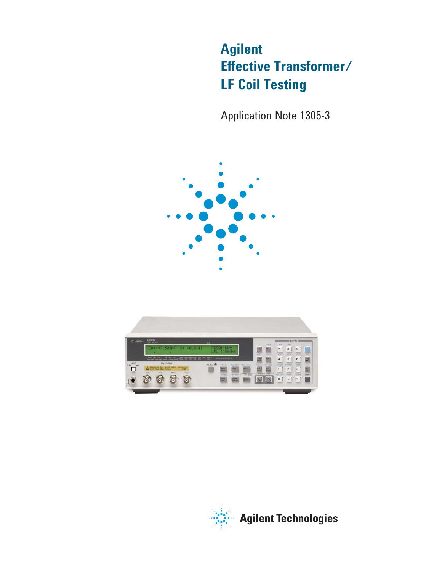# **Agilent Effective Transformer/ LF Coil Testing**

Application Note 1305-3



| -25 Agilent     | 42638<br><b>AXIB METER</b>                                                           | <b>BALL</b>                                                |                                                                |                            |                               | <b>BENTRY I</b>                                        |
|-----------------|--------------------------------------------------------------------------------------|------------------------------------------------------------|----------------------------------------------------------------|----------------------------|-------------------------------|--------------------------------------------------------|
|                 | Cp1+97,505nF<br>DE.<br>$+0.0101$                                                     | 20093102<br>u                                              | $: 1000$ ml                                                    | <b>Adril</b><br><b>Rat</b> | <b>Dist</b><br>$\overline{7}$ | <b>Man</b><br>9<br>$\bf{8}$                            |
|                 | <b>CONTRACT COMPANY AND RESERVED IN THE ART AND RESERVED AND RESERVED ASSOCIATES</b> |                                                            |                                                                | -                          | <b>Theme</b><br>4             | <b>William</b><br><b>Canada</b><br>-<br>6<br>5         |
| <b>LOW LINE</b> | <b>UNKRADWIN</b><br>A Daniverge test dence before memorial                           | $D2$ then $D$<br>$4$ Mulle<br><b>Hend</b><br><b>Circle</b> | Digi Holy<br><b>Blue direct</b><br><b>CANNY</b><br><b>Fixt</b> | Ford Advert Steel Heads    | Circulate<br>٠                | Card Tite<br><b>Circle</b><br>3<br>$\overline{2}$<br>腦 |

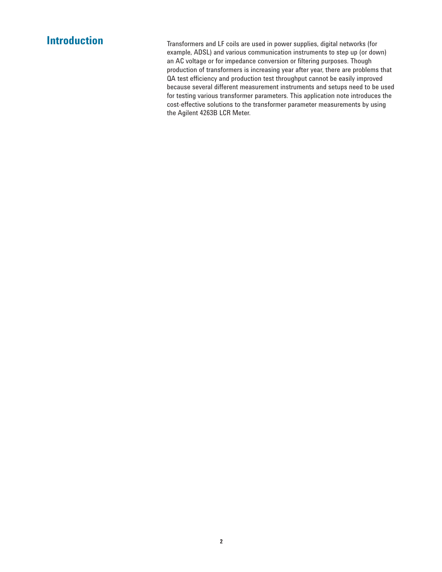**Introduction** Transformers and LF coils are used in power supplies, digital networks (for example, ADSL) and various communication instruments to step up (or down) an AC voltage or for impedance conversion or filtering purposes. Though production of transformers is increasing year after year, there are problems that QA test efficiency and production test throughput cannot be easily improved because several different measurement instruments and setups need to be used for testing various transformer parameters. This application note introduces the cost-effective solutions to the transformer parameter measurements by using the Agilent 4263B LCR Meter.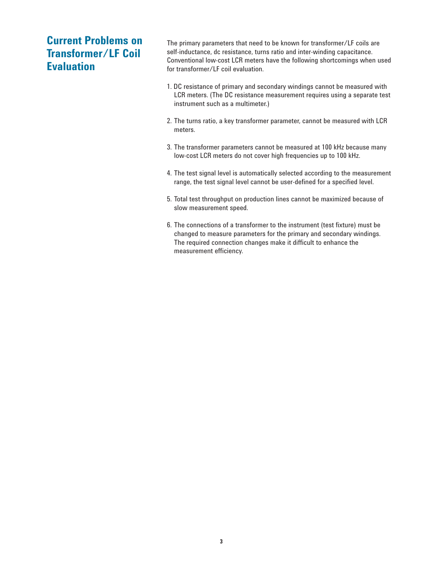## **Current Problems on Transformer/LF Coil Evaluation**

The primary parameters that need to be known for transformer/LF coils are self-inductance, dc resistance, turns ratio and inter-winding capacitance. Conventional low-cost LCR meters have the following shortcomings when used for transformer/LF coil evaluation.

- 1. DC resistance of primary and secondary windings cannot be measured with LCR meters. (The DC resistance measurement requires using a separate test instrument such as a multimeter.)
- 2. The turns ratio, a key transformer parameter, cannot be measured with LCR meters.
- 3. The transformer parameters cannot be measured at 100 kHz because many low-cost LCR meters do not cover high frequencies up to 100 kHz.
- 4. The test signal level is automatically selected according to the measurement range, the test signal level cannot be user-defined for a specified level.
- 5. Total test throughput on production lines cannot be maximized because of slow measurement speed.
- 6. The connections of a transformer to the instrument (test fixture) must be changed to measure parameters for the primary and secondary windings. The required connection changes make it difficult to enhance the measurement efficiency.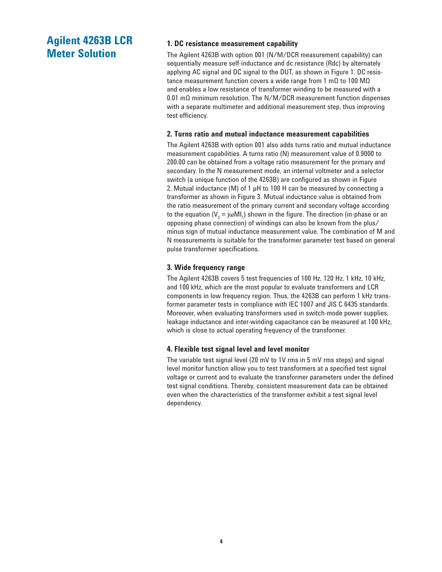## **Agilent 4263B LCR Meter Solution**

## **1. DC resistance measurement capability**

The Agilent 4263B with option 001 (N/M/DCR measurement capability) can sequentially measure self-inductance and dc resistance (Rdc) by alternately applying AC signal and DC signal to the DUT, as shown in Figure 1. DC resistance measurement function covers a wide range from 1 mΩ to 100 MΩ and enables a low resistance of transformer winding to be measured with a 0.01 mΩ minimum resolution. The N/M/DCR measurement function dispenses with a separate multimeter and additional measurement step, thus improving test efficiency.

## **2. Turns ratio and mutual inductance measurement capabilities**

The Agilent 4263B with option 001 also adds turns ratio and mutual inductance measurement capabilities. A turns ratio (N) measurement value of 0.9000 to 200.00 can be obtained from a voltage ratio measurement for the primary and secondary. In the N measurement mode, an internal voltmeter and a selector switch (a unique function of the 4263B) are configured as shown in Figure 2. Mutual inductance (M) of 1 µH to 100 H can be measured by connecting a transformer as shown in Figure 3. Mutual inductance value is obtained from the ratio measurement of the primary current and secondary voltage according to the equation (V $_2$  = jωMI<sub>1</sub>) shown in the figure. The direction (in-phase or an opposing phase connection) of windings can also be known from the plus/ minus sign of mutual inductance measurement value. The combination of M and N measurements is suitable for the transformer parameter test based on general pulse transformer specifications.

## **3. Wide frequency range**

The Agilent 4263B covers 5 test frequencies of 100 Hz, 120 Hz, 1 kHz, 10 kHz, and 100 kHz, which are the most popular to evaluate transformers and LCR components in low frequency region. Thus, the 4263B can perform 1 kHz transformer parameter tests in compliance with IEC 1007 and JIS C 6435 standards. Moreover, when evaluating transformers used in switch-mode power supplies, leakage inductance and inter-winding capacitance can be measured at 100 kHz, which is close to actual operating frequency of the transformer.

### **4. Flexible test signal level and level monitor**

The variable test signal level (20 mV to 1V rms in 5 mV rms steps) and signal level monitor function allow you to test transformers at a specified test signal voltage or current and to evaluate the transformer parameters under the defined test signal conditions. Thereby, consistent measurement data can be obtained even when the characteristics of the transformer exhibit a test signal level dependency.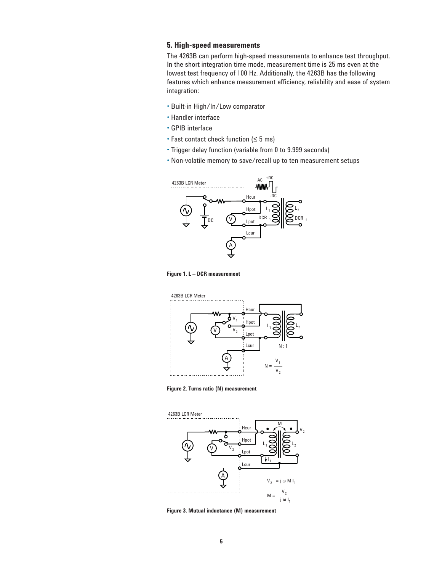## **5. High-speed measurements**

The 4263B can perform high-speed measurements to enhance test throughput. In the short integration time mode, measurement time is 25 ms even at the lowest test frequency of 100 Hz. Additionally, the 4263B has the following features which enhance measurement efficiency, reliability and ease of system integration:

- Built-in High/In/Low comparator
- Handler interface
- GPIB interface
- Fast contact check function (≤ 5 ms)
- Trigger delay function (variable from 0 to 9.999 seconds)
- Non-volatile memory to save/recall up to ten measurement setups



**Figure 1. L – DCR measurement**



**Figure 2. Turns ratio (N) measurement**



**Figure 3. Mutual inductance (M) measurement**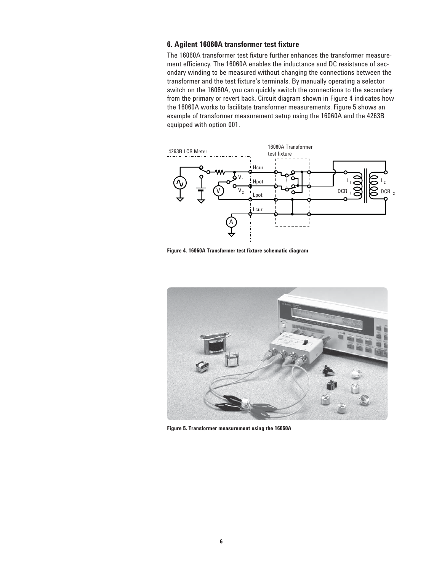## **6. Agilent 16060A transformer test fi xture**

The 16060A transformer test fixture further enhances the transformer measurement efficiency. The 16060A enables the inductance and DC resistance of secondary winding to be measured without changing the connections between the transformer and the test fixture's terminals. By manually operating a selector switch on the 16060A, you can quickly switch the connections to the secondary from the primary or revert back. Circuit diagram shown in Figure 4 indicates how the 16060A works to facilitate transformer measurements. Figure 5 shows an example of transformer measurement setup using the 16060A and the 4263B equipped with option 001.



**Figure 4. 16060A Transformer test fi xture schematic diagram** 



**Figure 5. Transformer measurement using the 16060A**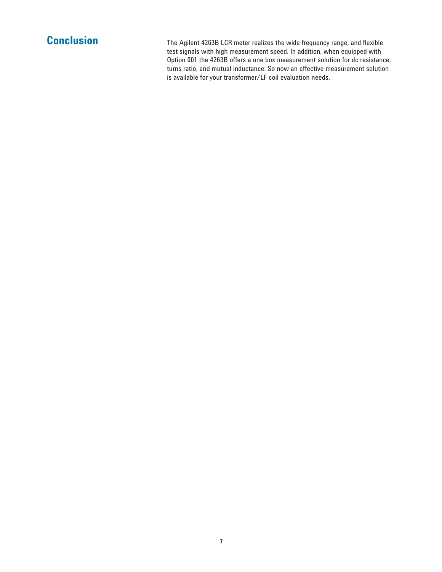**Conclusion** The Agilent 4263B LCR meter realizes the wide frequency range, and flexible test signals with high measurement speed. In addition, when equipped with Option 001 the 4263B offers a one box measurement solution for dc resistance, turns ratio, and mutual inductance. So now an effective measurement solution is available for your transformer/LF coil evaluation needs.